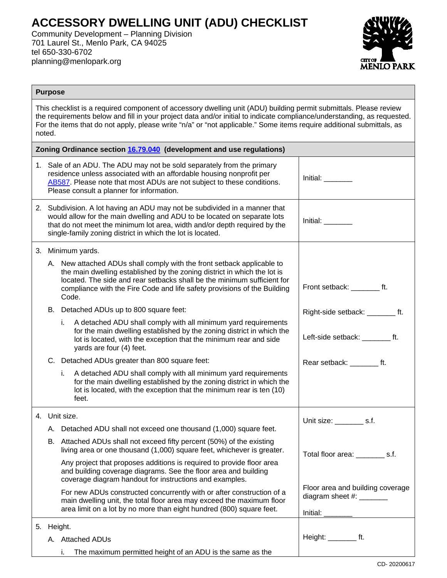## **ACCESSORY DWELLING UNIT (ADU) CHECKLIST**

Community Development – Planning Division 701 Laurel St., Menlo Park, CA 94025 tel 650-330-6702 planning@menlopark.org



## **Purpose**

This checklist is a required component of accessory dwelling unit (ADU) building permit submittals. Please review the requirements below and fill in your project data and/or initial to indicate compliance/understanding, as requested. For the items that do not apply, please write "n/a" or "not applicable." Some items require additional submittals, as noted.

| Zoning Ordinance section 16.79.040 (development and use regulations) |            |                                                                                                                                                                                                                                                                                                                    |                                                                          |  |  |  |  |
|----------------------------------------------------------------------|------------|--------------------------------------------------------------------------------------------------------------------------------------------------------------------------------------------------------------------------------------------------------------------------------------------------------------------|--------------------------------------------------------------------------|--|--|--|--|
|                                                                      |            | 1. Sale of an ADU. The ADU may not be sold separately from the primary<br>residence unless associated with an affordable housing nonprofit per<br>AB587. Please note that most ADUs are not subject to these conditions.<br>Please consult a planner for information.                                              | Initial:                                                                 |  |  |  |  |
|                                                                      |            | 2. Subdivision. A lot having an ADU may not be subdivided in a manner that<br>would allow for the main dwelling and ADU to be located on separate lots<br>that do not meet the minimum lot area, width and/or depth required by the<br>single-family zoning district in which the lot is located.                  | Initial:                                                                 |  |  |  |  |
|                                                                      |            | 3. Minimum yards.                                                                                                                                                                                                                                                                                                  |                                                                          |  |  |  |  |
|                                                                      |            | A. New attached ADUs shall comply with the front setback applicable to<br>the main dwelling established by the zoning district in which the lot is<br>located. The side and rear setbacks shall be the minimum sufficient for<br>compliance with the Fire Code and life safety provisions of the Building<br>Code. | Front setback: ft.                                                       |  |  |  |  |
|                                                                      |            | B. Detached ADUs up to 800 square feet:                                                                                                                                                                                                                                                                            | Right-side setback: __________ ft.                                       |  |  |  |  |
|                                                                      |            | A detached ADU shall comply with all minimum yard requirements<br>i.<br>for the main dwelling established by the zoning district in which the<br>lot is located, with the exception that the minimum rear and side<br>yards are four (4) feet.                                                                     | Left-side setback: _______ ft.                                           |  |  |  |  |
|                                                                      |            | C. Detached ADUs greater than 800 square feet:                                                                                                                                                                                                                                                                     | Rear setback: _______ ft.                                                |  |  |  |  |
|                                                                      |            | A detached ADU shall comply with all minimum yard requirements<br>İ.<br>for the main dwelling established by the zoning district in which the<br>lot is located, with the exception that the minimum rear is ten (10)<br>feet.                                                                                     |                                                                          |  |  |  |  |
|                                                                      |            | 4. Unit size.                                                                                                                                                                                                                                                                                                      | Unit size: ___________ s.f.                                              |  |  |  |  |
|                                                                      |            | A. Detached ADU shall not exceed one thousand (1,000) square feet.                                                                                                                                                                                                                                                 |                                                                          |  |  |  |  |
|                                                                      |            | B. Attached ADUs shall not exceed fifty percent (50%) of the existing<br>living area or one thousand (1,000) square feet, whichever is greater.                                                                                                                                                                    | Total floor area: __________ s.f.                                        |  |  |  |  |
|                                                                      |            | Any project that proposes additions is required to provide floor area<br>and building coverage diagrams. See the floor area and building<br>coverage diagram handout for instructions and examples.                                                                                                                |                                                                          |  |  |  |  |
|                                                                      |            | For new ADUs constructed concurrently with or after construction of a<br>main dwelling unit, the total floor area may exceed the maximum floor<br>area limit on a lot by no more than eight hundred (800) square feet.                                                                                             | Floor area and building coverage<br>diagram sheet #: _______<br>Initial: |  |  |  |  |
|                                                                      | 5. Height. |                                                                                                                                                                                                                                                                                                                    |                                                                          |  |  |  |  |
|                                                                      |            | A. Attached ADUs                                                                                                                                                                                                                                                                                                   | Height: $\_\_\_\_\_\_$ ft.                                               |  |  |  |  |
|                                                                      |            | The maximum permitted height of an ADU is the same as the                                                                                                                                                                                                                                                          |                                                                          |  |  |  |  |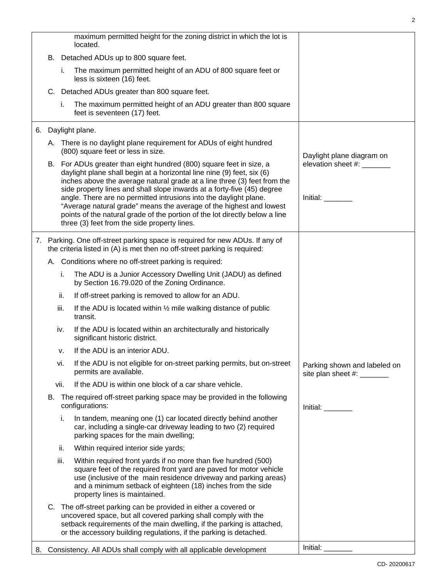|                                                                                          |      | maximum permitted height for the zoning district in which the lot is<br>located.                                                                                                                                                                                                                         |                                                            |  |  |
|------------------------------------------------------------------------------------------|------|----------------------------------------------------------------------------------------------------------------------------------------------------------------------------------------------------------------------------------------------------------------------------------------------------------|------------------------------------------------------------|--|--|
|                                                                                          |      | B. Detached ADUs up to 800 square feet.                                                                                                                                                                                                                                                                  |                                                            |  |  |
|                                                                                          | i.   | The maximum permitted height of an ADU of 800 square feet or<br>less is sixteen (16) feet.                                                                                                                                                                                                               |                                                            |  |  |
|                                                                                          |      | C. Detached ADUs greater than 800 square feet.                                                                                                                                                                                                                                                           |                                                            |  |  |
|                                                                                          | i.   | The maximum permitted height of an ADU greater than 800 square<br>feet is seventeen (17) feet.                                                                                                                                                                                                           |                                                            |  |  |
|                                                                                          |      | 6. Daylight plane.                                                                                                                                                                                                                                                                                       |                                                            |  |  |
|                                                                                          |      | A. There is no daylight plane requirement for ADUs of eight hundred<br>(800) square feet or less in size.                                                                                                                                                                                                | Daylight plane diagram on                                  |  |  |
|                                                                                          |      | B. For ADUs greater than eight hundred (800) square feet in size, a<br>daylight plane shall begin at a horizontal line nine (9) feet, six (6)<br>inches above the average natural grade at a line three (3) feet from the                                                                                | elevation sheet #: _______                                 |  |  |
|                                                                                          |      | side property lines and shall slope inwards at a forty-five (45) degree                                                                                                                                                                                                                                  |                                                            |  |  |
|                                                                                          |      | angle. There are no permitted intrusions into the daylight plane.<br>"Average natural grade" means the average of the highest and lowest<br>points of the natural grade of the portion of the lot directly below a line<br>three (3) feet from the side property lines.                                  | Initial:                                                   |  |  |
|                                                                                          |      | 7. Parking. One off-street parking space is required for new ADUs. If any of                                                                                                                                                                                                                             |                                                            |  |  |
|                                                                                          |      | the criteria listed in (A) is met then no off-street parking is required:                                                                                                                                                                                                                                |                                                            |  |  |
|                                                                                          |      | A. Conditions where no off-street parking is required:                                                                                                                                                                                                                                                   |                                                            |  |  |
|                                                                                          | i.   | The ADU is a Junior Accessory Dwelling Unit (JADU) as defined<br>by Section 16.79.020 of the Zoning Ordinance.                                                                                                                                                                                           |                                                            |  |  |
|                                                                                          | ii.  | If off-street parking is removed to allow for an ADU.                                                                                                                                                                                                                                                    |                                                            |  |  |
|                                                                                          | iii. | If the ADU is located within 1/2 mile walking distance of public<br>transit.                                                                                                                                                                                                                             |                                                            |  |  |
|                                                                                          | iv.  | If the ADU is located within an architecturally and historically<br>significant historic district.                                                                                                                                                                                                       |                                                            |  |  |
|                                                                                          | ۷.   | If the ADU is an interior ADU.                                                                                                                                                                                                                                                                           |                                                            |  |  |
|                                                                                          | vi.  | If the ADU is not eligible for on-street parking permits, but on-street<br>permits are available.                                                                                                                                                                                                        | Parking shown and labeled on<br>site plan sheet #: _______ |  |  |
|                                                                                          | vii. | If the ADU is within one block of a car share vehicle.                                                                                                                                                                                                                                                   |                                                            |  |  |
|                                                                                          |      | B. The required off-street parking space may be provided in the following<br>configurations:                                                                                                                                                                                                             | Initial: <b>Alice Structure</b>                            |  |  |
|                                                                                          | i.   | In tandem, meaning one (1) car located directly behind another<br>car, including a single-car driveway leading to two (2) required<br>parking spaces for the main dwelling;                                                                                                                              |                                                            |  |  |
|                                                                                          | ii.  | Within required interior side yards;                                                                                                                                                                                                                                                                     |                                                            |  |  |
|                                                                                          | iii. | Within required front yards if no more than five hundred (500)<br>square feet of the required front yard are paved for motor vehicle<br>use (inclusive of the main residence driveway and parking areas)<br>and a minimum setback of eighteen (18) inches from the side<br>property lines is maintained. |                                                            |  |  |
|                                                                                          |      | C. The off-street parking can be provided in either a covered or<br>uncovered space, but all covered parking shall comply with the<br>setback requirements of the main dwelling, if the parking is attached,<br>or the accessory building regulations, if the parking is detached.                       |                                                            |  |  |
| Initial: $\_\_$<br>8. Consistency. All ADUs shall comply with all applicable development |      |                                                                                                                                                                                                                                                                                                          |                                                            |  |  |